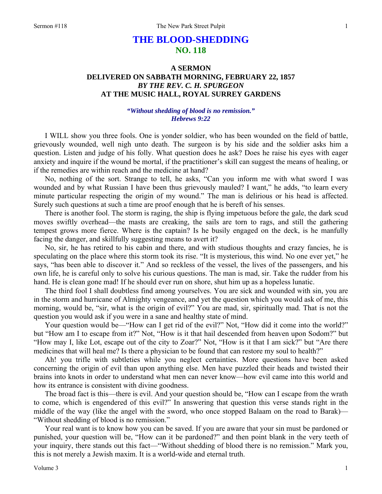# **THE BLOOD-SHEDDING NO. 118**

## **A SERMON DELIVERED ON SABBATH MORNING, FEBRUARY 22, 1857**  *BY THE REV. C. H. SPURGEON*  **AT THE MUSIC HALL, ROYAL SURREY GARDENS**

### *"Without shedding of blood is no remission." Hebrews 9:22*

I WILL show you three fools. One is yonder soldier, who has been wounded on the field of battle, grievously wounded, well nigh unto death. The surgeon is by his side and the soldier asks him a question. Listen and judge of his folly. What question does he ask? Does he raise his eyes with eager anxiety and inquire if the wound be mortal, if the practitioner's skill can suggest the means of healing, or if the remedies are within reach and the medicine at hand?

No, nothing of the sort. Strange to tell, he asks, "Can you inform me with what sword I was wounded and by what Russian I have been thus grievously mauled? I want," he adds, "to learn every minute particular respecting the origin of my wound." The man is delirious or his head is affected. Surely such questions at such a time are proof enough that he is bereft of his senses.

There is another fool. The storm is raging, the ship is flying impetuous before the gale, the dark scud moves swiftly overhead—the masts are creaking, the sails are torn to rags, and still the gathering tempest grows more fierce. Where is the captain? Is he busily engaged on the deck, is he manfully facing the danger, and skillfully suggesting means to avert it?

No, sir, he has retired to his cabin and there, and with studious thoughts and crazy fancies, he is speculating on the place where this storm took its rise. "It is mysterious, this wind. No one ever yet," he says, "has been able to discover it." And so reckless of the vessel, the lives of the passengers, and his own life, he is careful only to solve his curious questions. The man is mad, sir. Take the rudder from his hand. He is clean gone mad! If he should ever run on shore, shut him up as a hopeless lunatic.

The third fool I shall doubtless find among yourselves. You are sick and wounded with sin, you are in the storm and hurricane of Almighty vengeance, and yet the question which you would ask of me, this morning, would be, "sir, what is the origin of evil?" You are mad, sir, spiritually mad. That is not the question you would ask if you were in a sane and healthy state of mind.

Your question would be—"How can I get rid of the evil?" Not, "How did it come into the world?" but "How am I to escape from it?" Not, "How is it that hail descended from heaven upon Sodom?" but "How may I, like Lot, escape out of the city to Zoar?" Not, "How is it that I am sick?" but "Are there medicines that will heal me? Is there a physician to be found that can restore my soul to health?"

Ah! you trifle with subtleties while you neglect certainties. More questions have been asked concerning the origin of evil than upon anything else. Men have puzzled their heads and twisted their brains into knots in order to understand what men can never know—how evil came into this world and how its entrance is consistent with divine goodness.

The broad fact is this—there is evil. And your question should be, "How can I escape from the wrath to come, which is engendered of this evil?" In answering that question this verse stands right in the middle of the way (like the angel with the sword, who once stopped Balaam on the road to Barak)— "Without shedding of blood is no remission."

Your real want is to know how you can be saved. If you are aware that your sin must be pardoned or punished, your question will be, "How can it be pardoned?" and then point blank in the very teeth of your inquiry, there stands out this fact—"Without shedding of blood there is no remission." Mark you, this is not merely a Jewish maxim. It is a world-wide and eternal truth.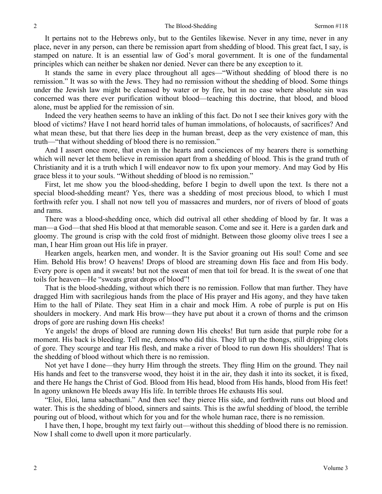It pertains not to the Hebrews only, but to the Gentiles likewise. Never in any time, never in any place, never in any person, can there be remission apart from shedding of blood. This great fact, I say, is stamped on nature. It is an essential law of God's moral government. It is one of the fundamental principles which can neither be shaken nor denied. Never can there be any exception to it.

It stands the same in every place throughout all ages—"Without shedding of blood there is no remission." It was so with the Jews. They had no remission without the shedding of blood. Some things under the Jewish law might be cleansed by water or by fire, but in no case where absolute sin was concerned was there ever purification without blood—teaching this doctrine, that blood, and blood alone, must be applied for the remission of sin.

Indeed the very heathen seems to have an inkling of this fact. Do not I see their knives gory with the blood of victims? Have I not heard horrid tales of human immolations, of holocausts, of sacrifices? And what mean these, but that there lies deep in the human breast, deep as the very existence of man, this truth—"that without shedding of blood there is no remission."

And I assert once more, that even in the hearts and consciences of my hearers there is something which will never let them believe in remission apart from a shedding of blood. This is the grand truth of Christianity and it is a truth which I will endeavor now to fix upon your memory. And may God by His grace bless it to your souls. "Without shedding of blood is no remission."

First, let me show you the blood-shedding, before I begin to dwell upon the text. Is there not a special blood-shedding meant? Yes, there was a shedding of most precious blood, to which I must forthwith refer you. I shall not now tell you of massacres and murders, nor of rivers of blood of goats and rams.

There was a blood-shedding once, which did outrival all other shedding of blood by far. It was a man—a God—that shed His blood at that memorable season. Come and see it. Here is a garden dark and gloomy. The ground is crisp with the cold frost of midnight. Between those gloomy olive trees I see a man, I hear Him groan out His life in prayer.

Hearken angels, hearken men, and wonder. It is the Savior groaning out His soul! Come and see Him. Behold His brow! O heavens! Drops of blood are streaming down His face and from His body. Every pore is open and it sweats! but not the sweat of men that toil for bread. It is the sweat of one that toils for heaven—He "sweats great drops of blood"!

That is the blood-shedding, without which there is no remission. Follow that man further. They have dragged Him with sacrilegious hands from the place of His prayer and His agony, and they have taken Him to the hall of Pilate. They seat Him in a chair and mock Him. A robe of purple is put on His shoulders in mockery. And mark His brow—they have put about it a crown of thorns and the crimson drops of gore are rushing down His cheeks!

Ye angels! the drops of blood are running down His cheeks! But turn aside that purple robe for a moment. His back is bleeding. Tell me, demons who did this. They lift up the thongs, still dripping clots of gore. They scourge and tear His flesh, and make a river of blood to run down His shoulders! That is the shedding of blood without which there is no remission.

Not yet have I done—they hurry Him through the streets. They fling Him on the ground. They nail His hands and feet to the transverse wood, they hoist it in the air, they dash it into its socket, it is fixed, and there He hangs the Christ of God. Blood from His head, blood from His hands, blood from His feet! In agony unknown He bleeds away His life. In terrible throes He exhausts His soul.

"Eloi, Eloi, lama sabacthani." And then see! they pierce His side, and forthwith runs out blood and water. This is the shedding of blood, sinners and saints. This is the awful shedding of blood, the terrible pouring out of blood, without which for you and for the whole human race, there is no remission.

I have then, I hope, brought my text fairly out—without this shedding of blood there is no remission. Now I shall come to dwell upon it more particularly.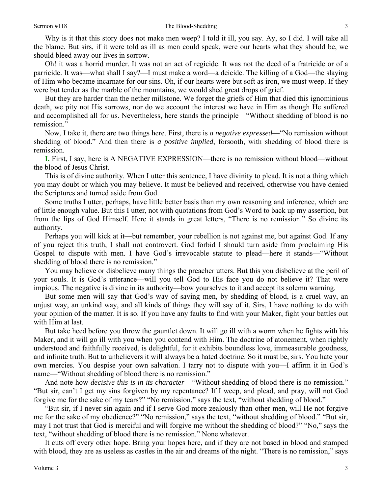Why is it that this story does not make men weep? I told it ill, you say. Ay, so I did. I will take all the blame. But sirs, if it were told as ill as men could speak, were our hearts what they should be, we should bleed away our lives in sorrow.

Oh! it was a horrid murder. It was not an act of regicide. It was not the deed of a fratricide or of a parricide. It was—what shall I say?—I must make a word—a deicide. The killing of a God—the slaying of Him who became incarnate for our sins. Oh, if our hearts were but soft as iron, we must weep. If they were but tender as the marble of the mountains, we would shed great drops of grief.

But they are harder than the nether millstone. We forget the griefs of Him that died this ignominious death, we pity not His sorrows, nor do we account the interest we have in Him as though He suffered and accomplished all for us. Nevertheless, here stands the principle—"Without shedding of blood is no remission."

Now, I take it, there are two things here. First, there is *a negative expressed*—"No remission without shedding of blood." And then there is *a positive implied*, forsooth, with shedding of blood there is remission.

**I.** First, I say, here is A NEGATIVE EXPRESSION—there is no remission without blood—without the blood of Jesus Christ.

This is of divine authority. When I utter this sentence, I have divinity to plead. It is not a thing which you may doubt or which you may believe. It must be believed and received, otherwise you have denied the Scriptures and turned aside from God.

Some truths I utter, perhaps, have little better basis than my own reasoning and inference, which are of little enough value. But this I utter, not with quotations from God's Word to back up my assertion, but from the lips of God Himself. Here it stands in great letters, "There is no remission." So divine its authority.

Perhaps you will kick at it—but remember, your rebellion is not against me, but against God. If any of you reject this truth, I shall not controvert. God forbid I should turn aside from proclaiming His Gospel to dispute with men. I have God's irrevocable statute to plead—here it stands—"Without shedding of blood there is no remission."

You may believe or disbelieve many things the preacher utters. But this you disbelieve at the peril of your souls. It is God's utterance—will you tell God to His face you do not believe it? That were impious. The negative is divine in its authority—bow yourselves to it and accept its solemn warning.

But some men will say that God's way of saving men, by shedding of blood, is a cruel way, an unjust way, an unkind way, and all kinds of things they will say of it. Sirs, I have nothing to do with your opinion of the matter. It is so. If you have any faults to find with your Maker, fight your battles out with Him at last.

But take heed before you throw the gauntlet down. It will go ill with a worm when he fights with his Maker, and it will go ill with you when you contend with Him. The doctrine of atonement, when rightly understood and faithfully received, is delightful, for it exhibits boundless love, immeasurable goodness, and infinite truth. But to unbelievers it will always be a hated doctrine. So it must be, sirs. You hate your own mercies. You despise your own salvation. I tarry not to dispute with you—I affirm it in God's name—"Without shedding of blood there is no remission."

And note how *decisive this is in its character*—"Without shedding of blood there is no remission." "But sir, can't I get my sins forgiven by my repentance? If I weep, and plead, and pray, will not God forgive me for the sake of my tears?" "No remission," says the text, "without shedding of blood."

"But sir, if I never sin again and if I serve God more zealously than other men, will He not forgive me for the sake of my obedience?" "No remission," says the text, "without shedding of blood." "But sir, may I not trust that God is merciful and will forgive me without the shedding of blood?" "No," says the text, "without shedding of blood there is no remission." None whatever.

It cuts off every other hope. Bring your hopes here, and if they are not based in blood and stamped with blood, they are as useless as castles in the air and dreams of the night. "There is no remission," says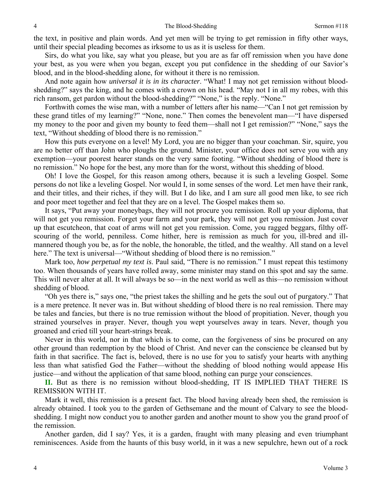the text, in positive and plain words. And yet men will be trying to get remission in fifty other ways, until their special pleading becomes as irksome to us as it is useless for them.

Sirs, do what you like, say what you please, but you are as far off remission when you have done your best, as you were when you began, except you put confidence in the shedding of our Savior's blood, and in the blood-shedding alone, for without it there is no remission.

And note again how *universal it is in its character*. "What! I may not get remission without bloodshedding?" says the king, and he comes with a crown on his head. "May not I in all my robes, with this rich ransom, get pardon without the blood-shedding?" "None," is the reply. "None."

Forthwith comes the wise man, with a number of letters after his name—"Can I not get remission by these grand titles of my learning?" "None, none." Then comes the benevolent man—"I have dispersed my money to the poor and given my bounty to feed them—shall not I get remission?" "None," says the text, "Without shedding of blood there is no remission."

How this puts everyone on a level! My Lord, you are no bigger than your coachman. Sir, squire, you are no better off than John who ploughs the ground. Minister, your office does not serve you with any exemption—your poorest hearer stands on the very same footing. "Without shedding of blood there is no remission." No hope for the best, any more than for the worst, without this shedding of blood.

Oh! I love the Gospel, for this reason among others, because it is such a leveling Gospel. Some persons do not like a leveling Gospel. Nor would I, in some senses of the word. Let men have their rank, and their titles, and their riches, if they will. But I do like, and I am sure all good men like, to see rich and poor meet together and feel that they are on a level. The Gospel makes them so.

It says, "Put away your moneybags, they will not procure you remission. Roll up your diploma, that will not get you remission. Forget your farm and your park, they will not get you remission. Just cover up that escutcheon, that coat of arms will not get you remission. Come, you ragged beggars, filthy offscouring of the world, penniless. Come hither, here is remission as much for you, ill-bred and illmannered though you be, as for the noble, the honorable, the titled, and the wealthy. All stand on a level here." The text is universal—"Without shedding of blood there is no remission."

Mark too, *how perpetual my text is*. Paul said, "There is no remission." I must repeat this testimony too. When thousands of years have rolled away, some minister may stand on this spot and say the same. This will never alter at all. It will always be so—in the next world as well as this—no remission without shedding of blood.

"Oh yes there is," says one, "the priest takes the shilling and he gets the soul out of purgatory." That is a mere pretence. It never was in. But without shedding of blood there is no real remission. There may be tales and fancies, but there is no true remission without the blood of propitiation. Never, though you strained yourselves in prayer. Never, though you wept yourselves away in tears. Never, though you groaned and cried till your heart-strings break.

Never in this world, nor in that which is to come, can the forgiveness of sins be procured on any other ground than redemption by the blood of Christ. And never can the conscience be cleansed but by faith in that sacrifice. The fact is, beloved, there is no use for you to satisfy your hearts with anything less than what satisfied God the Father—without the shedding of blood nothing would appease His justice—and without the application of that same blood, nothing can purge your consciences.

**II.** But as there is no remission without blood-shedding, IT IS IMPLIED THAT THERE IS REMISSION WITH IT.

Mark it well, this remission is a present fact. The blood having already been shed, the remission is already obtained. I took you to the garden of Gethsemane and the mount of Calvary to see the bloodshedding. I might now conduct you to another garden and another mount to show you the grand proof of the remission.

Another garden, did I say? Yes, it is a garden, fraught with many pleasing and even triumphant reminiscences. Aside from the haunts of this busy world, in it was a new sepulchre, hewn out of a rock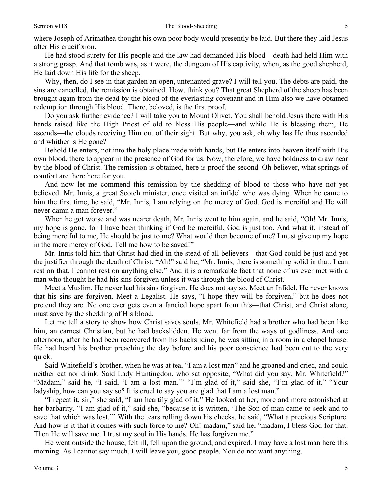where Joseph of Arimathea thought his own poor body would presently be laid. But there they laid Jesus after His crucifixion.

He had stood surety for His people and the law had demanded His blood—death had held Him with a strong grasp. And that tomb was, as it were, the dungeon of His captivity, when, as the good shepherd, He laid down His life for the sheep.

Why, then, do I see in that garden an open, untenanted grave? I will tell you. The debts are paid, the sins are cancelled, the remission is obtained. How, think you? That great Shepherd of the sheep has been brought again from the dead by the blood of the everlasting covenant and in Him also we have obtained redemption through His blood. There, beloved, is the first proof.

Do you ask further evidence? I will take you to Mount Olivet. You shall behold Jesus there with His hands raised like the High Priest of old to bless His people—and while He is blessing them, He ascends—the clouds receiving Him out of their sight. But why, you ask, oh why has He thus ascended and whither is He gone?

Behold He enters, not into the holy place made with hands, but He enters into heaven itself with His own blood, there to appear in the presence of God for us. Now, therefore, we have boldness to draw near by the blood of Christ. The remission is obtained, here is proof the second. Oh believer, what springs of comfort are there here for you.

And now let me commend this remission by the shedding of blood to those who have not yet believed. Mr. Innis, a great Scotch minister, once visited an infidel who was dying. When he came to him the first time, he said, "Mr. Innis, I am relying on the mercy of God. God is merciful and He will never damn a man forever."

When he got worse and was nearer death, Mr. Innis went to him again, and he said, "Oh! Mr. Innis, my hope is gone, for I have been thinking if God be merciful, God is just too. And what if, instead of being merciful to me, He should be just to me? What would then become of me? I must give up my hope in the mere mercy of God. Tell me how to be saved!"

Mr. Innis told him that Christ had died in the stead of all believers—that God could be just and yet the justifier through the death of Christ. "Ah!" said he, "Mr. Innis, there is something solid in that. I can rest on that. I cannot rest on anything else." And it is a remarkable fact that none of us ever met with a man who thought he had his sins forgiven unless it was through the blood of Christ.

Meet a Muslim. He never had his sins forgiven. He does not say so. Meet an Infidel. He never knows that his sins are forgiven. Meet a Legalist. He says, "I hope they will be forgiven," but he does not pretend they are. No one ever gets even a fancied hope apart from this—that Christ, and Christ alone, must save by the shedding of His blood.

Let me tell a story to show how Christ saves souls. Mr. Whitefield had a brother who had been like him, an earnest Christian, but he had backslidden. He went far from the ways of godliness. And one afternoon, after he had been recovered from his backsliding, he was sitting in a room in a chapel house. He had heard his brother preaching the day before and his poor conscience had been cut to the very quick.

Said Whitefield's brother, when he was at tea, "I am a lost man" and he groaned and cried, and could neither eat nor drink. Said Lady Huntingdon, who sat opposite, "What did you say, Mr. Whitefield?" "Madam," said he, "I said, 'I am a lost man.'" "I'm glad of it," said she, "I'm glad of it." "Your ladyship, how can you say so? It is cruel to say you are glad that I am a lost man."

"I repeat it, sir," she said, "I am heartily glad of it." He looked at her, more and more astonished at her barbarity. "I am glad of it," said she, "because it is written, 'The Son of man came to seek and to save that which was lost.'" With the tears rolling down his cheeks, he said, "What a precious Scripture. And how is it that it comes with such force to me? Oh! madam," said he, "madam, I bless God for that. Then He will save me. I trust my soul in His hands. He has forgiven me."

He went outside the house, felt ill, fell upon the ground, and expired. I may have a lost man here this morning. As I cannot say much, I will leave you, good people. You do not want anything.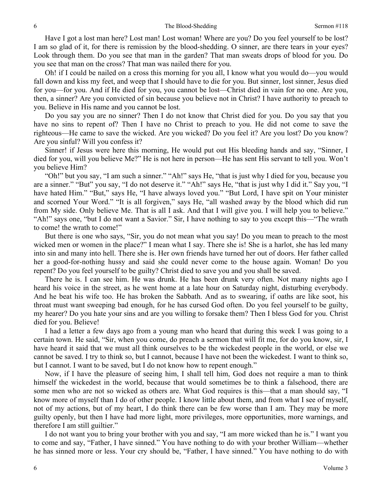Have I got a lost man here? Lost man! Lost woman! Where are you? Do you feel yourself to be lost? I am so glad of it, for there is remission by the blood-shedding. O sinner, are there tears in your eyes? Look through them. Do you see that man in the garden? That man sweats drops of blood for you. Do you see that man on the cross? That man was nailed there for you.

Oh! if I could be nailed on a cross this morning for you all, I know what you would do—you would fall down and kiss my feet, and weep that I should have to die for you. But sinner, lost sinner, Jesus died for you—for you. And if He died for you, you cannot be lost—Christ died in vain for no one. Are you, then, a sinner? Are you convicted of sin because you believe not in Christ? I have authority to preach to you. Believe in His name and you cannot be lost.

Do you say you are no sinner? Then I do not know that Christ died for you. Do you say that you have no sins to repent of? Then I have no Christ to preach to you. He did not come to save the righteous—He came to save the wicked. Are you wicked? Do you feel it? Are you lost? Do you know? Are you sinful? Will you confess it?

Sinner! if Jesus were here this morning, He would put out His bleeding hands and say, "Sinner, I died for you, will you believe Me?" He is not here in person—He has sent His servant to tell you. Won't you believe Him?

"Oh!" but you say, "I am such a sinner." "Ah!" says He, "that is just why I died for you, because you are a sinner." "But" you say, "I do not deserve it." "Ah!" says He, "that is just why I did it." Say you, "I have hated Him." "But," says He, "I have always loved you." "But Lord, I have spit on Your minister and scorned Your Word." "It is all forgiven," says He, "all washed away by the blood which did run from My side. Only believe Me. That is all I ask. And that I will give you. I will help you to believe." "Ah!" says one, "but I do not want a Savior." Sir, I have nothing to say to you except this—"The wrath to come! the wrath to come!"

But there is one who says, "Sir, you do not mean what you say! Do you mean to preach to the most wicked men or women in the place?" I mean what I say. There she is! She is a harlot, she has led many into sin and many into hell. There she is. Her own friends have turned her out of doors. Her father called her a good-for-nothing hussy and said she could never come to the house again. Woman! Do you repent? Do you feel yourself to be guilty? Christ died to save you and you shall be saved.

There he is. I can see him. He was drunk. He has been drunk very often. Not many nights ago I heard his voice in the street, as he went home at a late hour on Saturday night, disturbing everybody. And he beat his wife too. He has broken the Sabbath. And as to swearing, if oaths are like soot, his throat must want sweeping bad enough, for he has cursed God often. Do you feel yourself to be guilty, my hearer? Do you hate your sins and are you willing to forsake them? Then I bless God for you. Christ died for you. Believe!

I had a letter a few days ago from a young man who heard that during this week I was going to a certain town. He said, "Sir, when you come, do preach a sermon that will fit me, for do you know, sir, I have heard it said that we must all think ourselves to be the wickedest people in the world, or else we cannot be saved. I try to think so, but I cannot, because I have not been the wickedest. I want to think so, but I cannot. I want to be saved, but I do not know how to repent enough."

Now, if I have the pleasure of seeing him, I shall tell him, God does not require a man to think himself the wickedest in the world, because that would sometimes be to think a falsehood, there are some men who are not so wicked as others are. What God requires is this—that a man should say, "I know more of myself than I do of other people. I know little about them, and from what I see of myself, not of my actions, but of my heart, I do think there can be few worse than I am. They may be more guilty openly, but then I have had more light, more privileges, more opportunities, more warnings, and therefore I am still guiltier."

I do not want you to bring your brother with you and say, "I am more wicked than he is." I want you to come and say, "Father, I have sinned." You have nothing to do with your brother William—whether he has sinned more or less. Your cry should be, "Father, I have sinned." You have nothing to do with

6

6